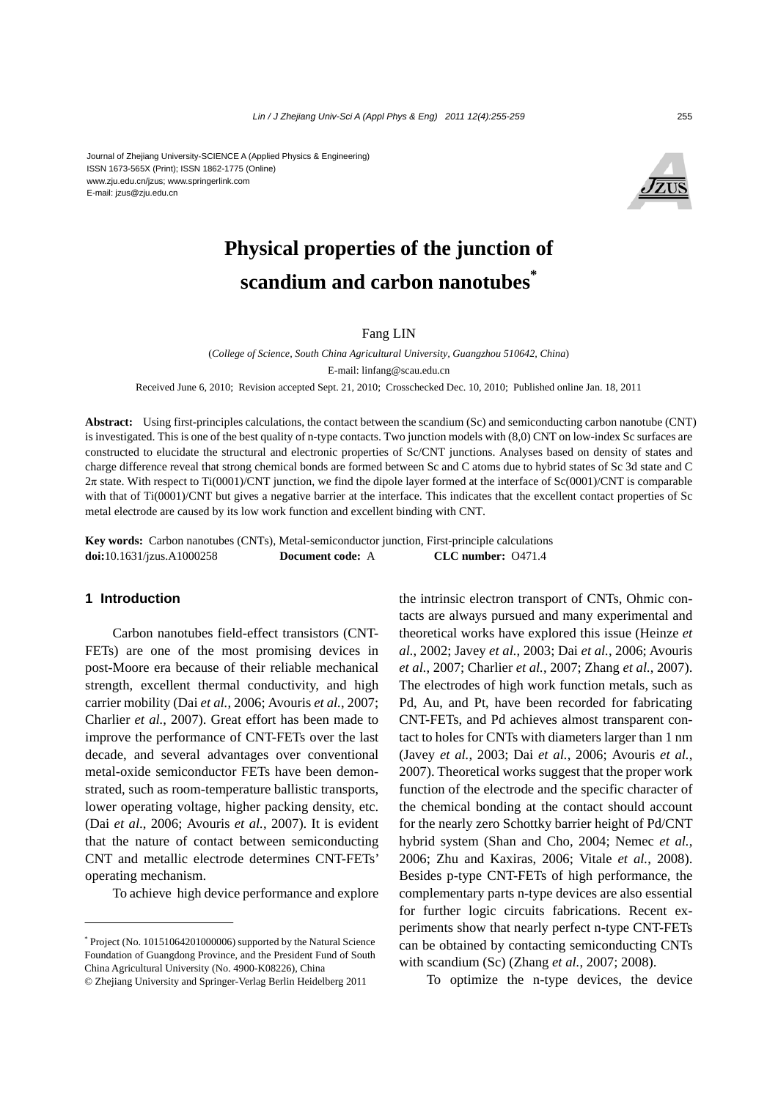#### Journal of Zhejiang University-SCIENCE A (Applied Physics & Engineering) ISSN 1673-565X (Print); ISSN 1862-1775 (Online) www.zju.edu.cn/jzus; www.springerlink.com E-mail: jzus@zju.edu.cn



# **Physical properties of the junction of scandium and carbon nanotubes\***

Fang LIN

(*College of Science, South China Agricultural University, Guangzhou 510642, China*) E-mail: linfang@scau.edu.cn

Received June 6, 2010; Revision accepted Sept. 21, 2010; Crosschecked Dec. 10, 2010; Published online Jan. 18, 2011

**Abstract:** Using first-principles calculations, the contact between the scandium (Sc) and semiconducting carbon nanotube (CNT) is investigated. This is one of the best quality of n-type contacts. Two junction models with (8,0) CNT on low-index Sc surfaces are constructed to elucidate the structural and electronic properties of Sc/CNT junctions. Analyses based on density of states and charge difference reveal that strong chemical bonds are formed between Sc and C atoms due to hybrid states of Sc 3d state and C 2π state. With respect to Ti(0001)/CNT junction, we find the dipole layer formed at the interface of Sc(0001)/CNT is comparable with that of Ti(0001)/CNT but gives a negative barrier at the interface. This indicates that the excellent contact properties of Sc metal electrode are caused by its low work function and excellent binding with CNT.

**Key words:** Carbon nanotubes (CNTs), Metal-semiconductor junction, First-principle calculations **doi:**10.1631/jzus.A1000258 **Document code:** A **CLC number:** O471.4

## **1 Introduction**

Carbon nanotubes field-effect transistors (CNT-FETs) are one of the most promising devices in post-Moore era because of their reliable mechanical strength, excellent thermal conductivity, and high carrier mobility (Dai *et al.*, 2006; Avouris *et al.*, 2007; Charlier *et al.*, 2007). Great effort has been made to improve the performance of CNT-FETs over the last decade, and several advantages over conventional metal-oxide semiconductor FETs have been demonstrated, such as room-temperature ballistic transports, lower operating voltage, higher packing density, etc. (Dai *et al*., 2006; Avouris *et al.*, 2007). It is evident that the nature of contact between semiconducting CNT and metallic electrode determines CNT-FETs' operating mechanism.

To achieve high device performance and explore

the intrinsic electron transport of CNTs, Ohmic contacts are always pursued and many experimental and theoretical works have explored this issue (Heinze *et al.*, 2002; Javey *et al.*, 2003; Dai *et al.*, 2006; Avouris *et al.*, 2007; Charlier *et al.*, 2007; Zhang *et al.*, 2007). The electrodes of high work function metals, such as Pd, Au, and Pt, have been recorded for fabricating CNT-FETs, and Pd achieves almost transparent contact to holes for CNTs with diameters larger than 1 nm (Javey *et al.*, 2003; Dai *et al.*, 2006; Avouris *et al.*, 2007). Theoretical works suggest that the proper work function of the electrode and the specific character of the chemical bonding at the contact should account for the nearly zero Schottky barrier height of Pd/CNT hybrid system (Shan and Cho, 2004; Nemec *et al.*, 2006; Zhu and Kaxiras, 2006; Vitale *et al.*, 2008). Besides p-type CNT-FETs of high performance, the complementary parts n-type devices are also essential for further logic circuits fabrications. Recent experiments show that nearly perfect n-type CNT-FETs can be obtained by contacting semiconducting CNTs with scandium (Sc) (Zhang *et al.*, 2007; 2008).

To optimize the n-type devices, the device

<sup>\*</sup> Project (No. 10151064201000006) supported by the Natural Science Foundation of Guangdong Province, and the President Fund of South China Agricultural University (No. 4900-K08226), China

<sup>©</sup> Zhejiang University and Springer-Verlag Berlin Heidelberg 2011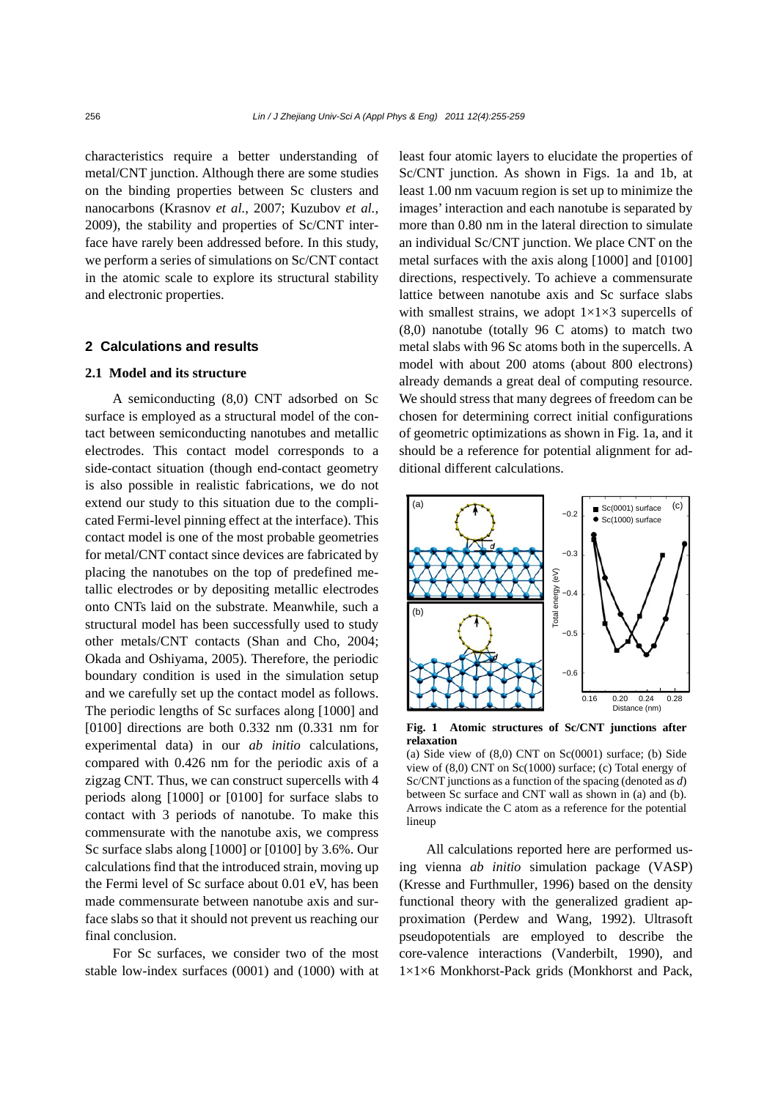characteristics require a better understanding of metal/CNT junction. Although there are some studies on the binding properties between Sc clusters and nanocarbons (Krasnov *et al.*, 2007; Kuzubov *et al.*, 2009), the stability and properties of Sc/CNT interface have rarely been addressed before. In this study, we perform a series of simulations on Sc/CNT contact in the atomic scale to explore its structural stability and electronic properties.

## **2 Calculations and results**

## **2.1 Model and its structure**

A semiconducting (8,0) CNT adsorbed on Sc surface is employed as a structural model of the contact between semiconducting nanotubes and metallic electrodes. This contact model corresponds to a side-contact situation (though end-contact geometry is also possible in realistic fabrications, we do not extend our study to this situation due to the complicated Fermi-level pinning effect at the interface). This contact model is one of the most probable geometries for metal/CNT contact since devices are fabricated by placing the nanotubes on the top of predefined metallic electrodes or by depositing metallic electrodes onto CNTs laid on the substrate. Meanwhile, such a structural model has been successfully used to study other metals/CNT contacts (Shan and Cho, 2004; Okada and Oshiyama, 2005). Therefore, the periodic boundary condition is used in the simulation setup and we carefully set up the contact model as follows. The periodic lengths of Sc surfaces along [1000] and [0100] directions are both 0.332 nm (0.331 nm for experimental data) in our *ab initio* calculations, compared with 0.426 nm for the periodic axis of a zigzag CNT. Thus, we can construct supercells with 4 periods along [1000] or [0100] for surface slabs to contact with 3 periods of nanotube. To make this commensurate with the nanotube axis, we compress Sc surface slabs along [1000] or [0100] by 3.6%. Our calculations find that the introduced strain, moving up the Fermi level of Sc surface about 0.01 eV, has been made commensurate between nanotube axis and surface slabs so that it should not prevent us reaching our final conclusion.

For Sc surfaces, we consider two of the most stable low-index surfaces (0001) and (1000) with at least four atomic layers to elucidate the properties of Sc/CNT junction. As shown in Figs. 1a and 1b, at least 1.00 nm vacuum region is set up to minimize the images' interaction and each nanotube is separated by more than 0.80 nm in the lateral direction to simulate an individual Sc/CNT junction. We place CNT on the metal surfaces with the axis along [1000] and [0100] directions, respectively. To achieve a commensurate lattice between nanotube axis and Sc surface slabs with smallest strains, we adopt  $1\times1\times3$  supercells of (8,0) nanotube (totally 96 C atoms) to match two metal slabs with 96 Sc atoms both in the supercells. A model with about 200 atoms (about 800 electrons) already demands a great deal of computing resource. We should stress that many degrees of freedom can be chosen for determining correct initial configurations of geometric optimizations as shown in Fig. 1a, and it should be a reference for potential alignment for additional different calculations.



**Fig. 1 Atomic structures of Sc/CNT junctions after relaxation** 

(a) Side view of  $(8,0)$  CNT on Sc $(0001)$  surface; (b) Side view of (8,0) CNT on Sc(1000) surface; (c) Total energy of Sc/CNT junctions as a function of the spacing (denoted as *d*) between Sc surface and CNT wall as shown in (a) and (b). Arrows indicate the C atom as a reference for the potential lineup

All calculations reported here are performed using vienna *ab initio* simulation package (VASP) (Kresse and Furthmuller, 1996) based on the density functional theory with the generalized gradient approximation (Perdew and Wang, 1992). Ultrasoft pseudopotentials are employed to describe the core-valence interactions (Vanderbilt, 1990), and 1×1×6 Monkhorst-Pack grids (Monkhorst and Pack,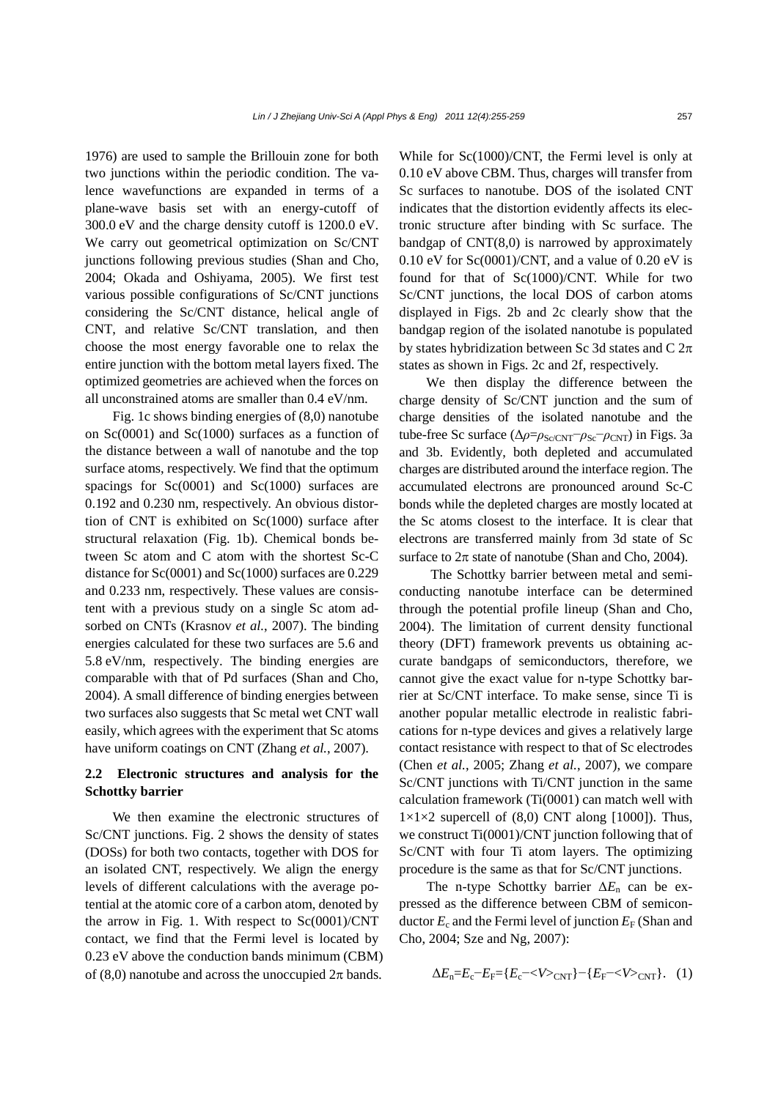1976) are used to sample the Brillouin zone for both two junctions within the periodic condition. The valence wavefunctions are expanded in terms of a plane-wave basis set with an energy-cutoff of 300.0 eV and the charge density cutoff is 1200.0 eV. We carry out geometrical optimization on Sc/CNT junctions following previous studies (Shan and Cho, 2004; Okada and Oshiyama, 2005). We first test various possible configurations of Sc/CNT junctions considering the Sc/CNT distance, helical angle of CNT, and relative Sc/CNT translation, and then choose the most energy favorable one to relax the entire junction with the bottom metal layers fixed. The optimized geometries are achieved when the forces on all unconstrained atoms are smaller than 0.4 eV/nm.

Fig. 1c shows binding energies of (8,0) nanotube on Sc(0001) and Sc(1000) surfaces as a function of the distance between a wall of nanotube and the top surface atoms, respectively. We find that the optimum spacings for Sc(0001) and Sc(1000) surfaces are 0.192 and 0.230 nm, respectively. An obvious distortion of CNT is exhibited on Sc(1000) surface after structural relaxation (Fig. 1b). Chemical bonds between Sc atom and C atom with the shortest Sc-C distance for Sc(0001) and Sc(1000) surfaces are 0.229 and 0.233 nm, respectively. These values are consistent with a previous study on a single Sc atom adsorbed on CNTs (Krasnov *et al.*, 2007). The binding energies calculated for these two surfaces are 5.6 and 5.8 eV/nm, respectively. The binding energies are comparable with that of Pd surfaces (Shan and Cho, 2004). A small difference of binding energies between two surfaces also suggests that Sc metal wet CNT wall easily, which agrees with the experiment that Sc atoms have uniform coatings on CNT (Zhang *et al.*, 2007).

# **2.2 Electronic structures and analysis for the Schottky barrier**

We then examine the electronic structures of Sc/CNT junctions. Fig. 2 shows the density of states (DOSs) for both two contacts, together with DOS for an isolated CNT, respectively. We align the energy levels of different calculations with the average potential at the atomic core of a carbon atom, denoted by the arrow in Fig. 1. With respect to  $Sc(0001)/CNT$ contact, we find that the Fermi level is located by 0.23 eV above the conduction bands minimum (CBM) of (8,0) nanotube and across the unoccupied  $2\pi$  bands.

While for Sc(1000)/CNT, the Fermi level is only at 0.10 eV above CBM. Thus, charges will transfer from Sc surfaces to nanotube. DOS of the isolated CNT indicates that the distortion evidently affects its electronic structure after binding with Sc surface. The bandgap of CNT(8,0) is narrowed by approximately  $0.10$  eV for Sc $(0.001)/$ CNT, and a value of  $0.20$  eV is found for that of Sc(1000)/CNT. While for two Sc/CNT junctions, the local DOS of carbon atoms displayed in Figs. 2b and 2c clearly show that the bandgap region of the isolated nanotube is populated by states hybridization between Sc 3d states and C  $2\pi$ states as shown in Figs. 2c and 2f, respectively.

We then display the difference between the charge density of Sc/CNT junction and the sum of charge densities of the isolated nanotube and the tube-free Sc surface (Δ*ρ*=*ρ*<sub>Sc/CNT</sub>−*ρ*<sub>Sc</sub>−*ρ*<sub>CNT</sub>) in Figs. 3a and 3b. Evidently, both depleted and accumulated charges are distributed around the interface region. The accumulated electrons are pronounced around Sc-C bonds while the depleted charges are mostly located at the Sc atoms closest to the interface. It is clear that electrons are transferred mainly from 3d state of Sc surface to  $2\pi$  state of nanotube (Shan and Cho, 2004).

The Schottky barrier between metal and semiconducting nanotube interface can be determined through the potential profile lineup (Shan and Cho, 2004). The limitation of current density functional theory (DFT) framework prevents us obtaining accurate bandgaps of semiconductors, therefore, we cannot give the exact value for n-type Schottky barrier at Sc/CNT interface. To make sense, since Ti is another popular metallic electrode in realistic fabrications for n-type devices and gives a relatively large contact resistance with respect to that of Sc electrodes (Chen *et al.*, 2005; Zhang *et al.*, 2007), we compare Sc/CNT junctions with Ti/CNT junction in the same calculation framework (Ti(0001) can match well with  $1\times1\times2$  supercell of (8,0) CNT along [1000]). Thus, we construct Ti(0001)/CNT junction following that of Sc/CNT with four Ti atom layers. The optimizing procedure is the same as that for Sc/CNT junctions.

The n-type Schottky barrier Δ*E*n can be expressed as the difference between CBM of semiconductor  $E_c$  and the Fermi level of junction  $E_F$  (Shan and Cho, 2004; Sze and Ng, 2007):

$$
\Delta E_n = E_c - E_F = \{E_c - \langle V \rangle_{\text{CNT}}\} - \{E_F - \langle V \rangle_{\text{CNT}}\}.
$$
 (1)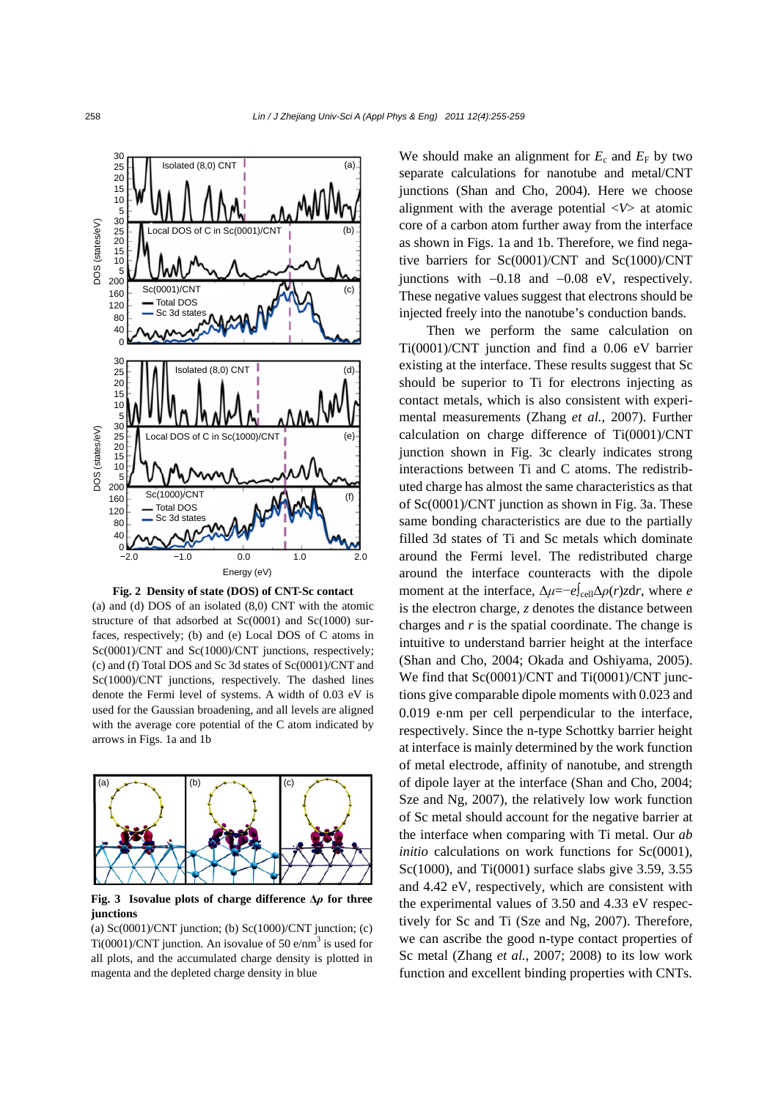

**Fig. 2 Density of state (DOS) of CNT-Sc contact** 

(a) and (d) DOS of an isolated (8,0) CNT with the atomic structure of that adsorbed at Sc(0001) and Sc(1000) surfaces, respectively; (b) and (e) Local DOS of C atoms in Sc(0001)/CNT and Sc(1000)/CNT junctions, respectively; (c) and (f) Total DOS and Sc 3d states of Sc(0001)/CNT and Sc(1000)/CNT junctions, respectively. The dashed lines denote the Fermi level of systems. A width of 0.03 eV is used for the Gaussian broadening, and all levels are aligned with the average core potential of the C atom indicated by arrows in Figs. 1a and 1b



**Fig. 3 Isovalue plots of charge difference Δ***ρ* **for three junctions** 

(a)  $Sc(0001)/CNT$  junction; (b)  $Sc(1000)/CNT$  junction; (c) Ti(0001)/CNT junction. An isovalue of 50 e/nm<sup>3</sup> is used for all plots, and the accumulated charge density is plotted in magenta and the depleted charge density in blue

We should make an alignment for  $E_c$  and  $E_F$  by two separate calculations for nanotube and metal/CNT junctions (Shan and Cho, 2004). Here we choose alignment with the average potential <*V*> at atomic core of a carbon atom further away from the interface as shown in Figs. 1a and 1b. Therefore, we find negative barriers for Sc(0001)/CNT and Sc(1000)/CNT junctions with −0.18 and −0.08 eV, respectively. These negative values suggest that electrons should be injected freely into the nanotube's conduction bands.

Then we perform the same calculation on Ti(0001)/CNT junction and find a 0.06 eV barrier existing at the interface. These results suggest that Sc should be superior to Ti for electrons injecting as contact metals, which is also consistent with experimental measurements (Zhang *et al.*, 2007). Further calculation on charge difference of Ti(0001)/CNT junction shown in Fig. 3c clearly indicates strong interactions between Ti and C atoms. The redistributed charge has almost the same characteristics as that of Sc(0001)/CNT junction as shown in Fig. 3a. These same bonding characteristics are due to the partially filled 3d states of Ti and Sc metals which dominate around the Fermi level. The redistributed charge around the interface counteracts with the dipole moment at the interface,  $\Delta \mu = -e \int_{\text{cell}} \Delta \rho(r) z dr$ , where *e* is the electron charge, *z* denotes the distance between charges and *r* is the spatial coordinate. The change is intuitive to understand barrier height at the interface (Shan and Cho, 2004; Okada and Oshiyama, 2005). We find that Sc(0001)/CNT and Ti(0001)/CNT junctions give comparable dipole moments with 0.023 and 0.019 e⋅nm per cell perpendicular to the interface, respectively. Since the n-type Schottky barrier height at interface is mainly determined by the work function of metal electrode, affinity of nanotube, and strength of dipole layer at the interface (Shan and Cho, 2004; Sze and Ng, 2007), the relatively low work function of Sc metal should account for the negative barrier at the interface when comparing with Ti metal. Our *ab initio* calculations on work functions for Sc(0001), Sc(1000), and Ti(0001) surface slabs give 3.59, 3.55 and 4.42 eV, respectively, which are consistent with the experimental values of 3.50 and 4.33 eV respectively for Sc and Ti (Sze and Ng, 2007). Therefore, we can ascribe the good n-type contact properties of Sc metal (Zhang *et al.*, 2007; 2008) to its low work function and excellent binding properties with CNTs.